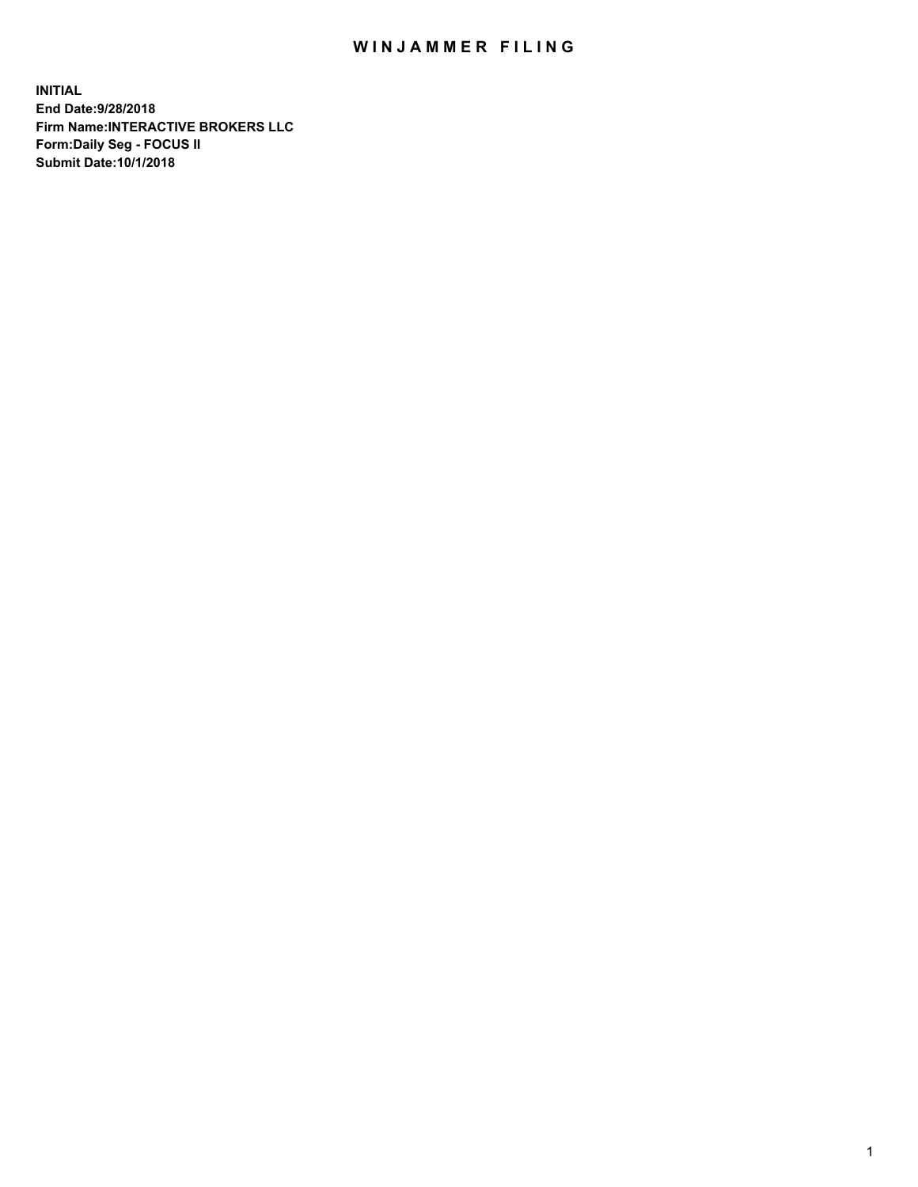## WIN JAMMER FILING

**INITIAL End Date:9/28/2018 Firm Name:INTERACTIVE BROKERS LLC Form:Daily Seg - FOCUS II Submit Date:10/1/2018**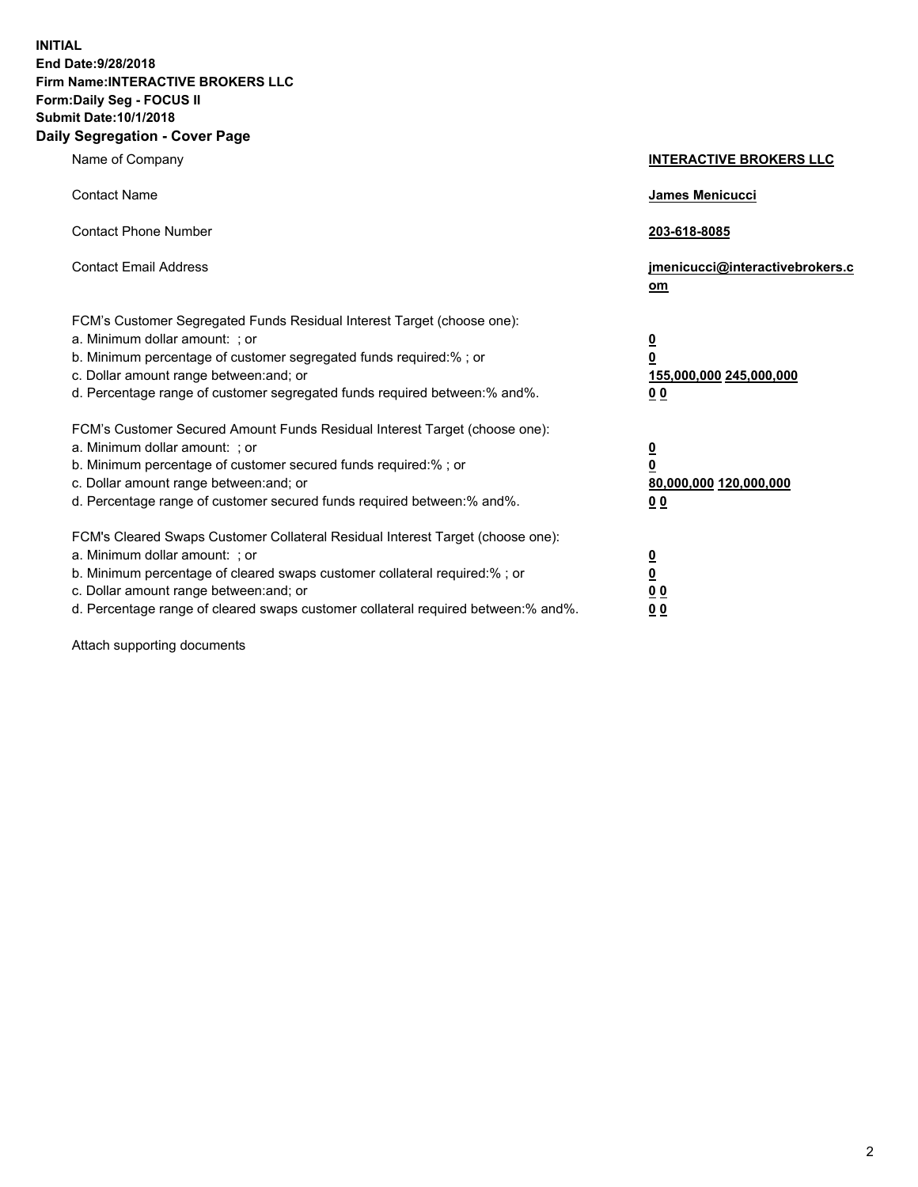**INITIAL End Date:9/28/2018 Firm Name:INTERACTIVE BROKERS LLC Form:Daily Seg - FOCUS II Submit Date:10/1/2018 Daily Segregation - Cover Page**

| Name of Company                                                                                                                                                                                                                                                                                                                | <b>INTERACTIVE BROKERS LLC</b>                                                                  |
|--------------------------------------------------------------------------------------------------------------------------------------------------------------------------------------------------------------------------------------------------------------------------------------------------------------------------------|-------------------------------------------------------------------------------------------------|
| <b>Contact Name</b>                                                                                                                                                                                                                                                                                                            | James Menicucci                                                                                 |
| <b>Contact Phone Number</b>                                                                                                                                                                                                                                                                                                    | 203-618-8085                                                                                    |
| <b>Contact Email Address</b>                                                                                                                                                                                                                                                                                                   | jmenicucci@interactivebrokers.c<br>om                                                           |
| FCM's Customer Segregated Funds Residual Interest Target (choose one):<br>a. Minimum dollar amount: ; or<br>b. Minimum percentage of customer segregated funds required:% ; or<br>c. Dollar amount range between: and; or<br>d. Percentage range of customer segregated funds required between:% and%.                         | $\overline{\mathbf{0}}$<br>$\overline{\mathbf{0}}$<br>155,000,000 245,000,000<br>0 <sub>0</sub> |
| FCM's Customer Secured Amount Funds Residual Interest Target (choose one):<br>a. Minimum dollar amount: ; or<br>b. Minimum percentage of customer secured funds required:%; or<br>c. Dollar amount range between: and; or<br>d. Percentage range of customer secured funds required between:% and%.                            | $\overline{\mathbf{0}}$<br>$\overline{\mathbf{0}}$<br>80,000,000 120,000,000<br>00              |
| FCM's Cleared Swaps Customer Collateral Residual Interest Target (choose one):<br>a. Minimum dollar amount: ; or<br>b. Minimum percentage of cleared swaps customer collateral required:% ; or<br>c. Dollar amount range between: and; or<br>d. Percentage range of cleared swaps customer collateral required between:% and%. | $\overline{\mathbf{0}}$<br>$\underline{\mathbf{0}}$<br>0 <sub>0</sub><br>0 <sub>0</sub>         |

Attach supporting documents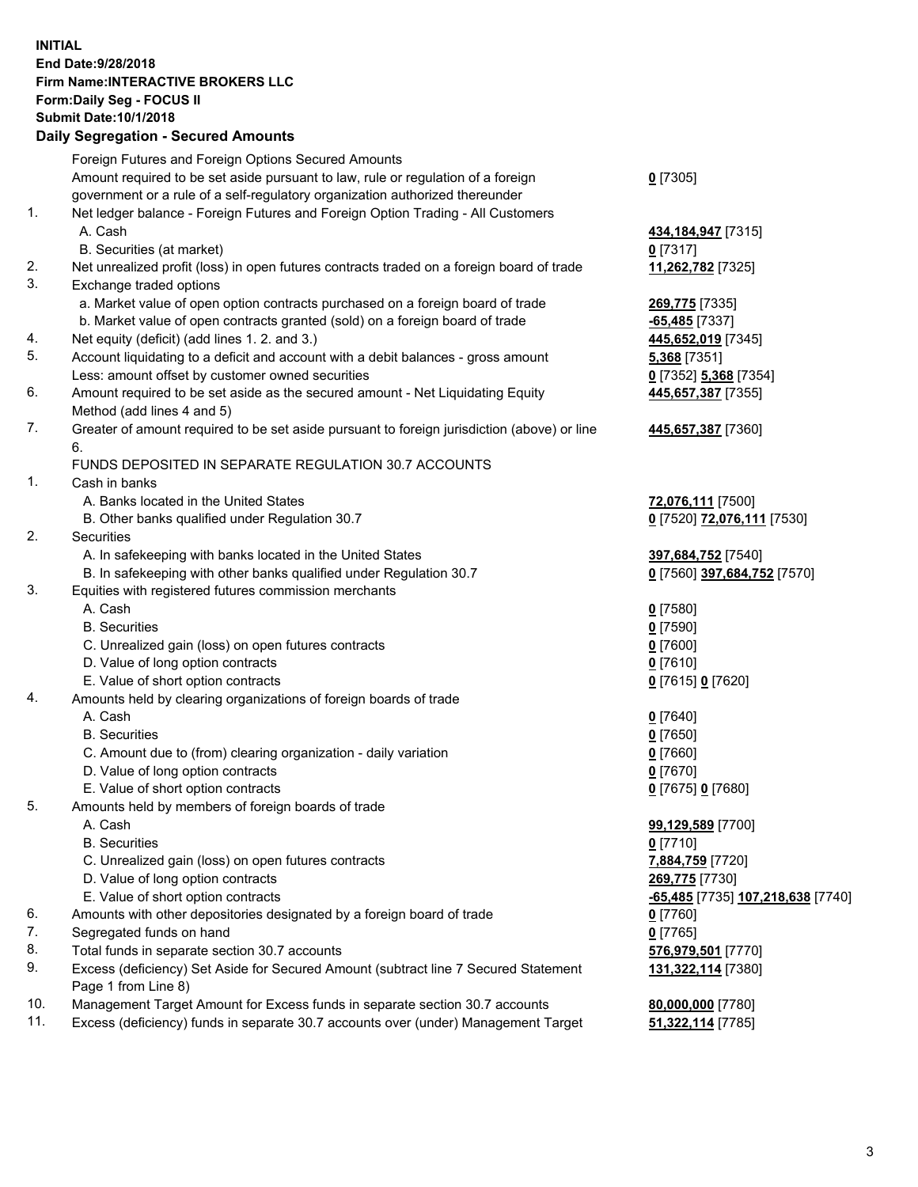## **INITIAL End Date:9/28/2018 Firm Name:INTERACTIVE BROKERS LLC Form:Daily Seg - FOCUS II Submit Date:10/1/2018 Daily Segregation - Secured Amounts**

| Dany Ocgregation - Occarea Anioants                                                         |                                                                                                                                                                                                                                                                                                                                                                                                                                                                                                                                                                                                                                                                                                                                                                                                                                                                                                                                                                                                                                                                                                                                                                                                                                                      |
|---------------------------------------------------------------------------------------------|------------------------------------------------------------------------------------------------------------------------------------------------------------------------------------------------------------------------------------------------------------------------------------------------------------------------------------------------------------------------------------------------------------------------------------------------------------------------------------------------------------------------------------------------------------------------------------------------------------------------------------------------------------------------------------------------------------------------------------------------------------------------------------------------------------------------------------------------------------------------------------------------------------------------------------------------------------------------------------------------------------------------------------------------------------------------------------------------------------------------------------------------------------------------------------------------------------------------------------------------------|
| Foreign Futures and Foreign Options Secured Amounts                                         |                                                                                                                                                                                                                                                                                                                                                                                                                                                                                                                                                                                                                                                                                                                                                                                                                                                                                                                                                                                                                                                                                                                                                                                                                                                      |
| Amount required to be set aside pursuant to law, rule or regulation of a foreign            | $0$ [7305]                                                                                                                                                                                                                                                                                                                                                                                                                                                                                                                                                                                                                                                                                                                                                                                                                                                                                                                                                                                                                                                                                                                                                                                                                                           |
| government or a rule of a self-regulatory organization authorized thereunder                |                                                                                                                                                                                                                                                                                                                                                                                                                                                                                                                                                                                                                                                                                                                                                                                                                                                                                                                                                                                                                                                                                                                                                                                                                                                      |
| Net ledger balance - Foreign Futures and Foreign Option Trading - All Customers             |                                                                                                                                                                                                                                                                                                                                                                                                                                                                                                                                                                                                                                                                                                                                                                                                                                                                                                                                                                                                                                                                                                                                                                                                                                                      |
| A. Cash                                                                                     | 434, 184, 947 [7315]                                                                                                                                                                                                                                                                                                                                                                                                                                                                                                                                                                                                                                                                                                                                                                                                                                                                                                                                                                                                                                                                                                                                                                                                                                 |
| B. Securities (at market)                                                                   | $0$ [7317]                                                                                                                                                                                                                                                                                                                                                                                                                                                                                                                                                                                                                                                                                                                                                                                                                                                                                                                                                                                                                                                                                                                                                                                                                                           |
| Net unrealized profit (loss) in open futures contracts traded on a foreign board of trade   | 11,262,782 [7325]                                                                                                                                                                                                                                                                                                                                                                                                                                                                                                                                                                                                                                                                                                                                                                                                                                                                                                                                                                                                                                                                                                                                                                                                                                    |
| Exchange traded options                                                                     |                                                                                                                                                                                                                                                                                                                                                                                                                                                                                                                                                                                                                                                                                                                                                                                                                                                                                                                                                                                                                                                                                                                                                                                                                                                      |
| a. Market value of open option contracts purchased on a foreign board of trade              | 269,775 [7335]                                                                                                                                                                                                                                                                                                                                                                                                                                                                                                                                                                                                                                                                                                                                                                                                                                                                                                                                                                                                                                                                                                                                                                                                                                       |
| b. Market value of open contracts granted (sold) on a foreign board of trade                | $-65,485$ [7337]                                                                                                                                                                                                                                                                                                                                                                                                                                                                                                                                                                                                                                                                                                                                                                                                                                                                                                                                                                                                                                                                                                                                                                                                                                     |
|                                                                                             | 445,652,019 [7345]                                                                                                                                                                                                                                                                                                                                                                                                                                                                                                                                                                                                                                                                                                                                                                                                                                                                                                                                                                                                                                                                                                                                                                                                                                   |
| Account liquidating to a deficit and account with a debit balances - gross amount           | 5,368 [7351]                                                                                                                                                                                                                                                                                                                                                                                                                                                                                                                                                                                                                                                                                                                                                                                                                                                                                                                                                                                                                                                                                                                                                                                                                                         |
| Less: amount offset by customer owned securities                                            | 0 [7352] 5,368 [7354]                                                                                                                                                                                                                                                                                                                                                                                                                                                                                                                                                                                                                                                                                                                                                                                                                                                                                                                                                                                                                                                                                                                                                                                                                                |
| Amount required to be set aside as the secured amount - Net Liquidating Equity              | 445,657,387 [7355]                                                                                                                                                                                                                                                                                                                                                                                                                                                                                                                                                                                                                                                                                                                                                                                                                                                                                                                                                                                                                                                                                                                                                                                                                                   |
| Method (add lines 4 and 5)                                                                  |                                                                                                                                                                                                                                                                                                                                                                                                                                                                                                                                                                                                                                                                                                                                                                                                                                                                                                                                                                                                                                                                                                                                                                                                                                                      |
| Greater of amount required to be set aside pursuant to foreign jurisdiction (above) or line | 445,657,387 [7360]                                                                                                                                                                                                                                                                                                                                                                                                                                                                                                                                                                                                                                                                                                                                                                                                                                                                                                                                                                                                                                                                                                                                                                                                                                   |
|                                                                                             |                                                                                                                                                                                                                                                                                                                                                                                                                                                                                                                                                                                                                                                                                                                                                                                                                                                                                                                                                                                                                                                                                                                                                                                                                                                      |
| FUNDS DEPOSITED IN SEPARATE REGULATION 30.7 ACCOUNTS                                        |                                                                                                                                                                                                                                                                                                                                                                                                                                                                                                                                                                                                                                                                                                                                                                                                                                                                                                                                                                                                                                                                                                                                                                                                                                                      |
| Cash in banks                                                                               |                                                                                                                                                                                                                                                                                                                                                                                                                                                                                                                                                                                                                                                                                                                                                                                                                                                                                                                                                                                                                                                                                                                                                                                                                                                      |
| A. Banks located in the United States                                                       | 72,076,111 [7500]                                                                                                                                                                                                                                                                                                                                                                                                                                                                                                                                                                                                                                                                                                                                                                                                                                                                                                                                                                                                                                                                                                                                                                                                                                    |
| B. Other banks qualified under Regulation 30.7                                              | 0 [7520] 72,076,111 [7530]                                                                                                                                                                                                                                                                                                                                                                                                                                                                                                                                                                                                                                                                                                                                                                                                                                                                                                                                                                                                                                                                                                                                                                                                                           |
| Securities                                                                                  |                                                                                                                                                                                                                                                                                                                                                                                                                                                                                                                                                                                                                                                                                                                                                                                                                                                                                                                                                                                                                                                                                                                                                                                                                                                      |
| A. In safekeeping with banks located in the United States                                   | 397,684,752 [7540]                                                                                                                                                                                                                                                                                                                                                                                                                                                                                                                                                                                                                                                                                                                                                                                                                                                                                                                                                                                                                                                                                                                                                                                                                                   |
|                                                                                             | 0 [7560] 397,684,752 [7570]                                                                                                                                                                                                                                                                                                                                                                                                                                                                                                                                                                                                                                                                                                                                                                                                                                                                                                                                                                                                                                                                                                                                                                                                                          |
|                                                                                             |                                                                                                                                                                                                                                                                                                                                                                                                                                                                                                                                                                                                                                                                                                                                                                                                                                                                                                                                                                                                                                                                                                                                                                                                                                                      |
|                                                                                             | $0$ [7580]                                                                                                                                                                                                                                                                                                                                                                                                                                                                                                                                                                                                                                                                                                                                                                                                                                                                                                                                                                                                                                                                                                                                                                                                                                           |
|                                                                                             | $0$ [7590]                                                                                                                                                                                                                                                                                                                                                                                                                                                                                                                                                                                                                                                                                                                                                                                                                                                                                                                                                                                                                                                                                                                                                                                                                                           |
|                                                                                             | $0$ [7600]                                                                                                                                                                                                                                                                                                                                                                                                                                                                                                                                                                                                                                                                                                                                                                                                                                                                                                                                                                                                                                                                                                                                                                                                                                           |
|                                                                                             | $0$ [7610]                                                                                                                                                                                                                                                                                                                                                                                                                                                                                                                                                                                                                                                                                                                                                                                                                                                                                                                                                                                                                                                                                                                                                                                                                                           |
|                                                                                             | 0 [7615] 0 [7620]                                                                                                                                                                                                                                                                                                                                                                                                                                                                                                                                                                                                                                                                                                                                                                                                                                                                                                                                                                                                                                                                                                                                                                                                                                    |
|                                                                                             |                                                                                                                                                                                                                                                                                                                                                                                                                                                                                                                                                                                                                                                                                                                                                                                                                                                                                                                                                                                                                                                                                                                                                                                                                                                      |
|                                                                                             | $0$ [7640]                                                                                                                                                                                                                                                                                                                                                                                                                                                                                                                                                                                                                                                                                                                                                                                                                                                                                                                                                                                                                                                                                                                                                                                                                                           |
|                                                                                             | $0$ [7650]                                                                                                                                                                                                                                                                                                                                                                                                                                                                                                                                                                                                                                                                                                                                                                                                                                                                                                                                                                                                                                                                                                                                                                                                                                           |
|                                                                                             | $0$ [7660]                                                                                                                                                                                                                                                                                                                                                                                                                                                                                                                                                                                                                                                                                                                                                                                                                                                                                                                                                                                                                                                                                                                                                                                                                                           |
|                                                                                             | $0$ [7670]                                                                                                                                                                                                                                                                                                                                                                                                                                                                                                                                                                                                                                                                                                                                                                                                                                                                                                                                                                                                                                                                                                                                                                                                                                           |
|                                                                                             | 0 [7675] 0 [7680]                                                                                                                                                                                                                                                                                                                                                                                                                                                                                                                                                                                                                                                                                                                                                                                                                                                                                                                                                                                                                                                                                                                                                                                                                                    |
|                                                                                             |                                                                                                                                                                                                                                                                                                                                                                                                                                                                                                                                                                                                                                                                                                                                                                                                                                                                                                                                                                                                                                                                                                                                                                                                                                                      |
|                                                                                             | 99,129,589 [7700]                                                                                                                                                                                                                                                                                                                                                                                                                                                                                                                                                                                                                                                                                                                                                                                                                                                                                                                                                                                                                                                                                                                                                                                                                                    |
|                                                                                             | $0$ [7710]                                                                                                                                                                                                                                                                                                                                                                                                                                                                                                                                                                                                                                                                                                                                                                                                                                                                                                                                                                                                                                                                                                                                                                                                                                           |
|                                                                                             | 7,884,759 [7720]                                                                                                                                                                                                                                                                                                                                                                                                                                                                                                                                                                                                                                                                                                                                                                                                                                                                                                                                                                                                                                                                                                                                                                                                                                     |
|                                                                                             | 269,775 [7730]                                                                                                                                                                                                                                                                                                                                                                                                                                                                                                                                                                                                                                                                                                                                                                                                                                                                                                                                                                                                                                                                                                                                                                                                                                       |
|                                                                                             | -65,485 [7735] 107,218,638 [7740]                                                                                                                                                                                                                                                                                                                                                                                                                                                                                                                                                                                                                                                                                                                                                                                                                                                                                                                                                                                                                                                                                                                                                                                                                    |
|                                                                                             | $0$ [7760]                                                                                                                                                                                                                                                                                                                                                                                                                                                                                                                                                                                                                                                                                                                                                                                                                                                                                                                                                                                                                                                                                                                                                                                                                                           |
|                                                                                             | $0$ [7765]                                                                                                                                                                                                                                                                                                                                                                                                                                                                                                                                                                                                                                                                                                                                                                                                                                                                                                                                                                                                                                                                                                                                                                                                                                           |
|                                                                                             | 576,979,501 [7770]                                                                                                                                                                                                                                                                                                                                                                                                                                                                                                                                                                                                                                                                                                                                                                                                                                                                                                                                                                                                                                                                                                                                                                                                                                   |
| Page 1 from Line 8)                                                                         | 131,322,114 [7380]                                                                                                                                                                                                                                                                                                                                                                                                                                                                                                                                                                                                                                                                                                                                                                                                                                                                                                                                                                                                                                                                                                                                                                                                                                   |
|                                                                                             | 80,000,000 [7780]                                                                                                                                                                                                                                                                                                                                                                                                                                                                                                                                                                                                                                                                                                                                                                                                                                                                                                                                                                                                                                                                                                                                                                                                                                    |
|                                                                                             | 51,322,114 [7785]                                                                                                                                                                                                                                                                                                                                                                                                                                                                                                                                                                                                                                                                                                                                                                                                                                                                                                                                                                                                                                                                                                                                                                                                                                    |
|                                                                                             | Net equity (deficit) (add lines 1.2. and 3.)<br>B. In safekeeping with other banks qualified under Regulation 30.7<br>Equities with registered futures commission merchants<br>A. Cash<br><b>B.</b> Securities<br>C. Unrealized gain (loss) on open futures contracts<br>D. Value of long option contracts<br>E. Value of short option contracts<br>Amounts held by clearing organizations of foreign boards of trade<br>A. Cash<br><b>B.</b> Securities<br>C. Amount due to (from) clearing organization - daily variation<br>D. Value of long option contracts<br>E. Value of short option contracts<br>Amounts held by members of foreign boards of trade<br>A. Cash<br><b>B.</b> Securities<br>C. Unrealized gain (loss) on open futures contracts<br>D. Value of long option contracts<br>E. Value of short option contracts<br>Amounts with other depositories designated by a foreign board of trade<br>Segregated funds on hand<br>Total funds in separate section 30.7 accounts<br>Excess (deficiency) Set Aside for Secured Amount (subtract line 7 Secured Statement<br>Management Target Amount for Excess funds in separate section 30.7 accounts<br>Excess (deficiency) funds in separate 30.7 accounts over (under) Management Target |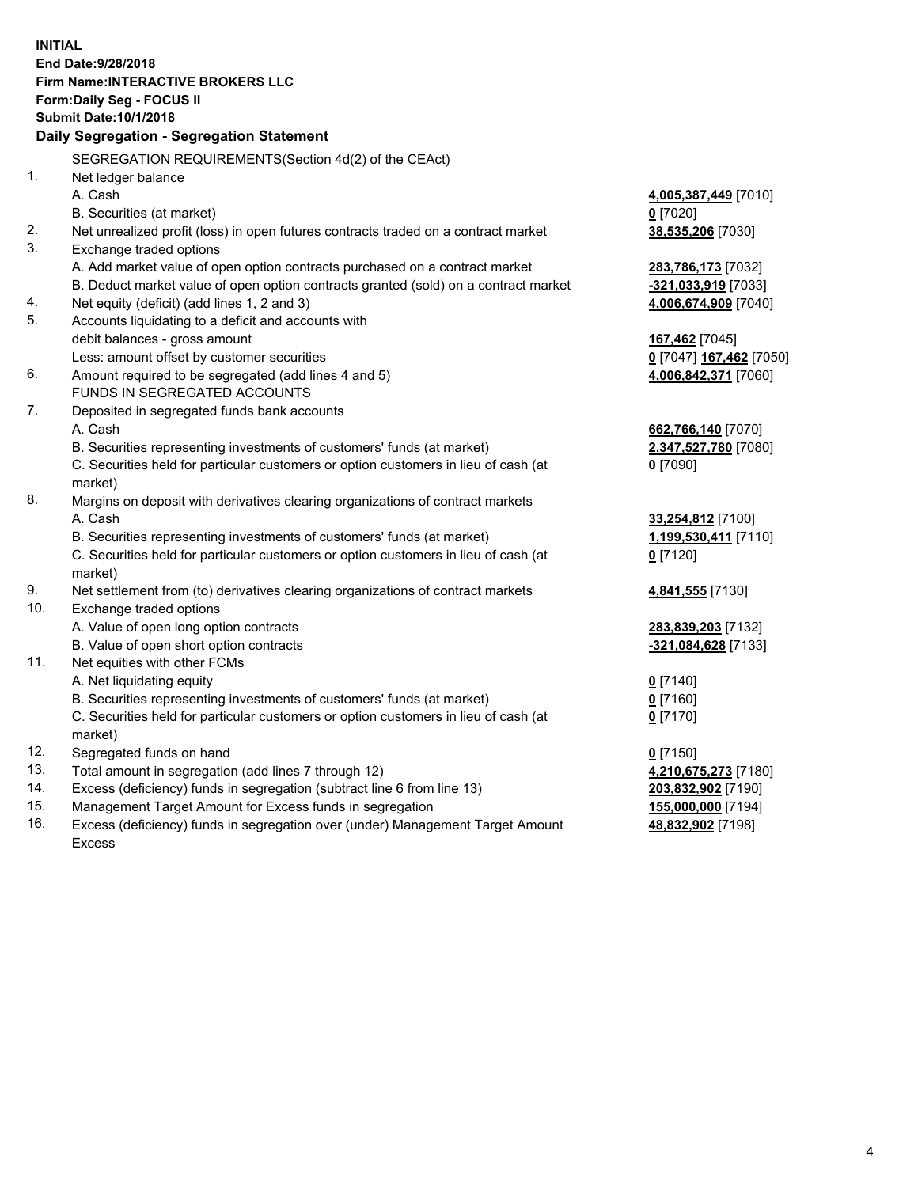**INITIAL End Date:9/28/2018 Firm Name:INTERACTIVE BROKERS LLC Form:Daily Seg - FOCUS II Submit Date:10/1/2018 Daily Segregation - Segregation Statement** SEGREGATION REQUIREMENTS(Section 4d(2) of the CEAct) 1. Net ledger balance A. Cash **4,005,387,449** [7010] B. Securities (at market) **0** [7020] 2. Net unrealized profit (loss) in open futures contracts traded on a contract market **38,535,206** [7030] 3. Exchange traded options A. Add market value of open option contracts purchased on a contract market **283,786,173** [7032] B. Deduct market value of open option contracts granted (sold) on a contract market **-321,033,919** [7033] 4. Net equity (deficit) (add lines 1, 2 and 3) **4,006,674,909** [7040] 5. Accounts liquidating to a deficit and accounts with debit balances - gross amount **167,462** [7045] Less: amount offset by customer securities **0** [7047] **167,462** [7050] 6. Amount required to be segregated (add lines 4 and 5) **4,006,842,371** [7060] FUNDS IN SEGREGATED ACCOUNTS 7. Deposited in segregated funds bank accounts A. Cash **662,766,140** [7070] B. Securities representing investments of customers' funds (at market) **2,347,527,780** [7080] C. Securities held for particular customers or option customers in lieu of cash (at market) **0** [7090] 8. Margins on deposit with derivatives clearing organizations of contract markets A. Cash **33,254,812** [7100] B. Securities representing investments of customers' funds (at market) **1,199,530,411** [7110] C. Securities held for particular customers or option customers in lieu of cash (at market) **0** [7120] 9. Net settlement from (to) derivatives clearing organizations of contract markets **4,841,555** [7130] 10. Exchange traded options A. Value of open long option contracts **283,839,203** [7132] B. Value of open short option contracts **-321,084,628** [7133] 11. Net equities with other FCMs A. Net liquidating equity **0** [7140] B. Securities representing investments of customers' funds (at market) **0** [7160] C. Securities held for particular customers or option customers in lieu of cash (at market) **0** [7170] 12. Segregated funds on hand **0** [7150] 13. Total amount in segregation (add lines 7 through 12) **4,210,675,273** [7180] 14. Excess (deficiency) funds in segregation (subtract line 6 from line 13) **203,832,902** [7190] 15. Management Target Amount for Excess funds in segregation **155,000,000** [7194]

16. Excess (deficiency) funds in segregation over (under) Management Target Amount Excess

## **48,832,902** [7198]